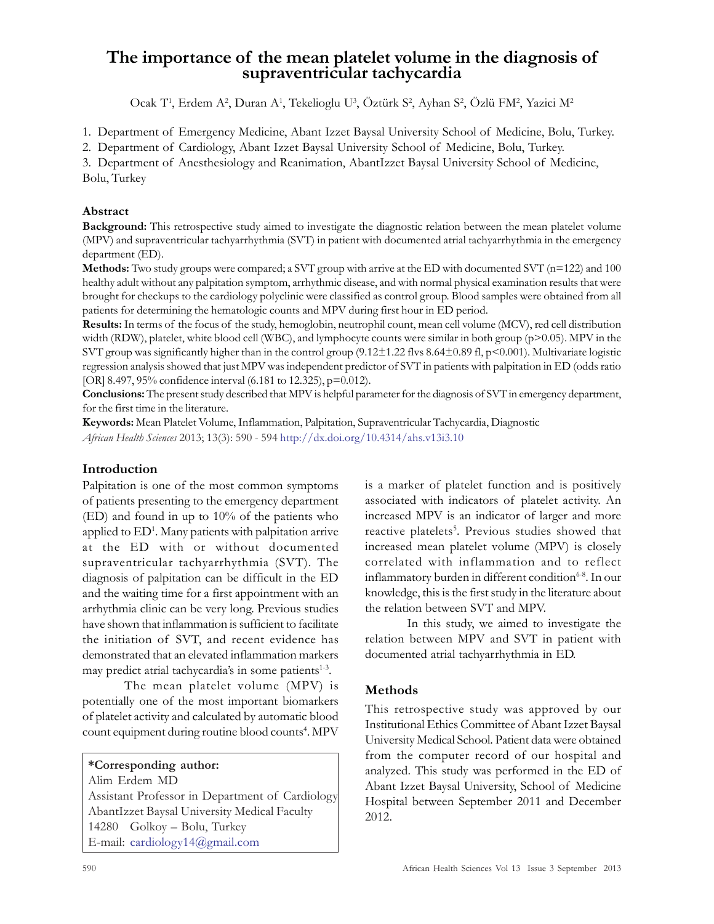# The importance of the mean platelet volume in the diagnosis of supraventricular tachycardia

Ocak T<sup>1</sup>, Erdem A<sup>2</sup>, Duran A<sup>1</sup>, Tekelioglu U<sup>3</sup>, Öztürk S<sup>2</sup>, Ayhan S<sup>2</sup>, Özlü FM<sup>2</sup>, Yazici M<sup>2</sup>

1. Department of Emergency Medicine, Abant Izzet Baysal University School of Medicine, Bolu, Turkey.

2. Department of Cardiology, Abant Izzet Baysal University School of Medicine, Bolu, Turkey.

3. Department of Anesthesiology and Reanimation, AbantIzzet Baysal University School of Medicine, Bolu, Turkey

#### Abstract

Background: This retrospective study aimed to investigate the diagnostic relation between the mean platelet volume (MPV) and supraventricular tachyarrhythmia (SVT) in patient with documented atrial tachyarrhythmia in the emergency department (ED).

Methods: Two study groups were compared; a SVT group with arrive at the ED with documented SVT (n=122) and 100 healthy adult without any palpitation symptom, arrhythmic disease, and with normal physical examination results that were brought for checkups to the cardiology polyclinic were classified as control group. Blood samples were obtained from all patients for determining the hematologic counts and MPV during first hour in ED period.

Results: In terms of the focus of the study, hemoglobin, neutrophil count, mean cell volume (MCV), red cell distribution width (RDW), platelet, white blood cell (WBC), and lymphocyte counts were similar in both group (p>0.05). MPV in the SVT group was significantly higher than in the control group (9.12±1.22 flvs 8.64±0.89 fl, p<0.001). Multivariate logistic regression analysis showed that just MPV was independent predictor of SVT in patients with palpitation in ED (odds ratio [OR] 8.497, 95% confidence interval (6.181 to 12.325), p=0.012).

Conclusions: The present study described that MPV is helpful parameter for the diagnosis of SVT in emergency department, for the first time in the literature.

Keywords: Mean Platelet Volume, Inflammation, Palpitation, Supraventricular Tachycardia, Diagnostic African Health Sciences 2013; 13(3): 590 - 594 http://dx.doi.org/10.4314/ahs.v13i3.10

## Introduction

Palpitation is one of the most common symptoms of patients presenting to the emergency department (ED) and found in up to 10% of the patients who applied to  $\mathrm{ED^1}.$  Many patients with palpitation arrive at the ED with or without documented supraventricular tachyarrhythmia (SVT). The diagnosis of palpitation can be difficult in the ED and the waiting time for a first appointment with an arrhythmia clinic can be very long. Previous studies have shown that inflammation is sufficient to facilitate the initiation of SVT, and recent evidence has demonstrated that an elevated inflammation markers may predict atrial tachycardia's in some patients<sup>1-3</sup>.

The mean platelet volume (MPV) is potentially one of the most important biomarkers of platelet activity and calculated by automatic blood count equipment during routine blood counts<sup>4</sup>. MPV

\*Corresponding author:

Alim Erdem MD

Assistant Professor in Department of Cardiology AbantIzzet Baysal University Medical Faculty 14280 Golkoy – Bolu, Turkey E-mail: cardiology14@gmail.com

is a marker of platelet function and is positively associated with indicators of platelet activity. An increased MPV is an indicator of larger and more reactive platelets<sup>5</sup>. Previous studies showed that increased mean platelet volume (MPV) is closely correlated with inflammation and to reflect inflammatory burden in different condition<sup>6-8</sup>. In our knowledge, this is the first study in the literature about the relation between SVT and MPV.

In this study, we aimed to investigate the relation between MPV and SVT in patient with documented atrial tachyarrhythmia in ED.

# Methods

This retrospective study was approved by our Institutional Ethics Committee of Abant Izzet Baysal University Medical School. Patient data were obtained from the computer record of our hospital and analyzed. This study was performed in the ED of Abant Izzet Baysal University, School of Medicine Hospital between September 2011 and December 2012.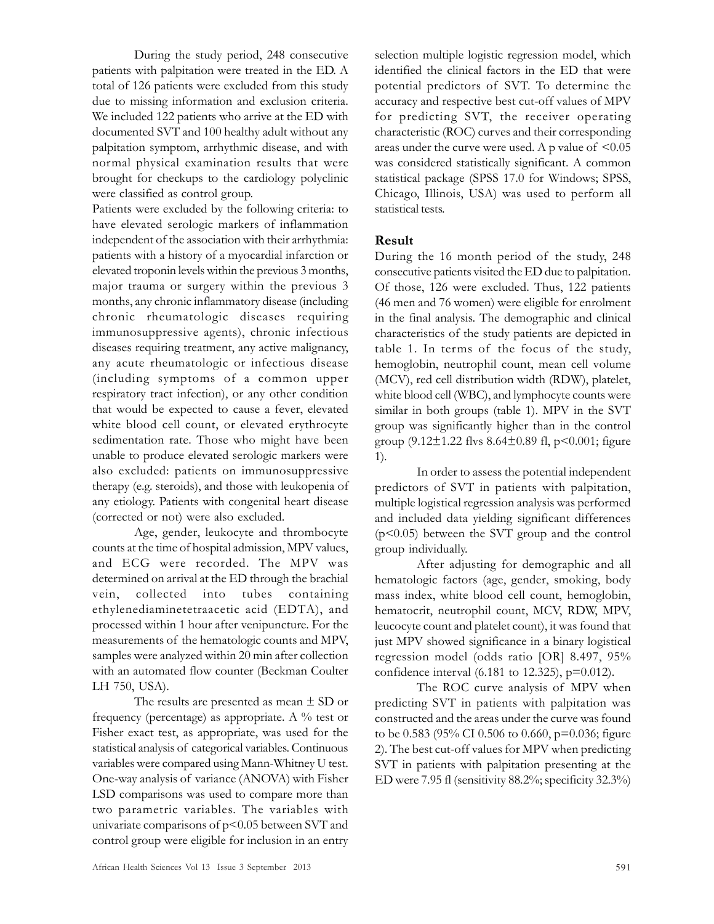During the study period, 248 consecutive patients with palpitation were treated in the ED. A total of 126 patients were excluded from this study due to missing information and exclusion criteria. We included 122 patients who arrive at the ED with documented SVT and 100 healthy adult without any palpitation symptom, arrhythmic disease, and with normal physical examination results that were brought for checkups to the cardiology polyclinic were classified as control group.

Patients were excluded by the following criteria: to have elevated serologic markers of inflammation independent of the association with their arrhythmia: patients with a history of a myocardial infarction or elevated troponin levels within the previous 3 months, major trauma or surgery within the previous 3 months, any chronic inflammatory disease (including chronic rheumatologic diseases requiring immunosuppressive agents), chronic infectious diseases requiring treatment, any active malignancy, any acute rheumatologic or infectious disease (including symptoms of a common upper respiratory tract infection), or any other condition that would be expected to cause a fever, elevated white blood cell count, or elevated erythrocyte sedimentation rate. Those who might have been unable to produce elevated serologic markers were also excluded: patients on immunosuppressive therapy (e.g. steroids), and those with leukopenia of any etiology. Patients with congenital heart disease (corrected or not) were also excluded.

Age, gender, leukocyte and thrombocyte counts at the time of hospital admission, MPV values, and ECG were recorded. The MPV was determined on arrival at the ED through the brachial vein, collected into tubes containing ethylenediaminetetraacetic acid (EDTA), and processed within 1 hour after venipuncture. For the measurements of the hematologic counts and MPV, samples were analyzed within 20 min after collection with an automated flow counter (Beckman Coulter LH 750, USA).

The results are presented as mean  $\pm$  SD or frequency (percentage) as appropriate. A  $\%$  test or Fisher exact test, as appropriate, was used for the statistical analysis of categorical variables. Continuous variables were compared using Mann-Whitney U test. One-way analysis of variance (ANOVA) with Fisher LSD comparisons was used to compare more than two parametric variables. The variables with univariate comparisons of p<0.05 between SVT and control group were eligible for inclusion in an entry selection multiple logistic regression model, which identified the clinical factors in the ED that were potential predictors of SVT. To determine the accuracy and respective best cut-off values of MPV for predicting SVT, the receiver operating characteristic (ROC) curves and their corresponding areas under the curve were used. A p value of  $\leq 0.05$ was considered statistically significant. A common statistical package (SPSS 17.0 for Windows; SPSS, Chicago, Illinois, USA) was used to perform all statistical tests.

#### Result

During the 16 month period of the study, 248 consecutive patients visited the ED due to palpitation. Of those, 126 were excluded. Thus, 122 patients (46 men and 76 women) were eligible for enrolment in the final analysis. The demographic and clinical characteristics of the study patients are depicted in table 1. In terms of the focus of the study, hemoglobin, neutrophil count, mean cell volume (MCV), red cell distribution width (RDW), platelet, white blood cell (WBC), and lymphocyte counts were similar in both groups (table 1). MPV in the SVT group was significantly higher than in the control group (9.12±1.22 flvs 8.64±0.89 fl, p<0.001; figure 1).

In order to assess the potential independent predictors of SVT in patients with palpitation, multiple logistical regression analysis was performed and included data yielding significant differences  $(p<0.05)$  between the SVT group and the control group individually.

After adjusting for demographic and all hematologic factors (age, gender, smoking, body mass index, white blood cell count, hemoglobin, hematocrit, neutrophil count, MCV, RDW, MPV, leucocyte count and platelet count), it was found that just MPV showed significance in a binary logistical regression model (odds ratio [OR] 8.497, 95% confidence interval (6.181 to 12.325), p=0.012).

The ROC curve analysis of MPV when predicting SVT in patients with palpitation was constructed and the areas under the curve was found to be 0.583 (95% CI 0.506 to 0.660, p=0.036; figure 2). The best cut-off values for MPV when predicting SVT in patients with palpitation presenting at the ED were 7.95 fl (sensitivity 88.2%; specificity 32.3%)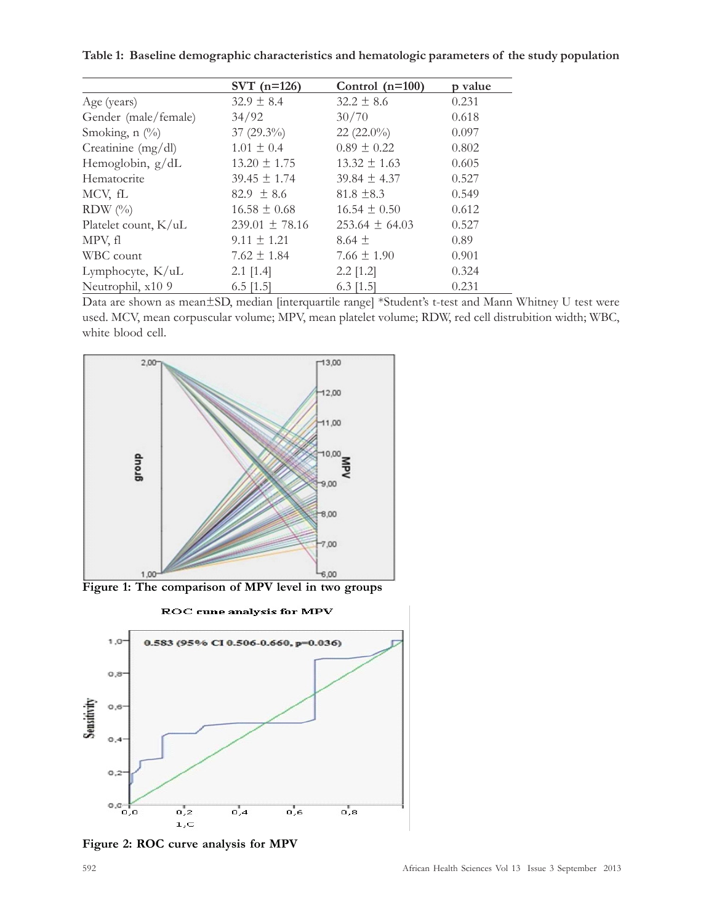Table 1: Baseline demographic characteristics and hematologic parameters of the study population

|                      | $SVT$ (n=126)      | Control $(n=100)$  | p value |
|----------------------|--------------------|--------------------|---------|
| Age (years)          | $32.9 \pm 8.4$     | $32.2 \pm 8.6$     | 0.231   |
| Gender (male/female) | 34/92              | 30/70              | 0.618   |
| Smoking, $n$ (%)     | $37(29.3\%)$       | $22(22.0\%)$       | 0.097   |
| Creatinine (mg/dl)   | $1.01 \pm 0.4$     | $0.89 \pm 0.22$    | 0.802   |
| Hemoglobin, g/dL     | $13.20 \pm 1.75$   | $13.32 \pm 1.63$   | 0.605   |
| Hematocrite          | $39.45 \pm 1.74$   | $39.84 \pm 4.37$   | 0.527   |
| MCV, fL              | 82.9 $\pm$ 8.6     | $81.8 \pm 8.3$     | 0.549   |
| RDW $(\%)$           | $16.58 \pm 0.68$   | $16.54 \pm 0.50$   | 0.612   |
| Platelet count, K/uL | 239.01 $\pm$ 78.16 | $253.64 \pm 64.03$ | 0.527   |
| MPV, fl              | $9.11 \pm 1.21$    | $8.64 \pm$         | 0.89    |
| WBC count            | $7.62 \pm 1.84$    | $7.66 \pm 1.90$    | 0.901   |
| Lymphocyte, K/uL     | $2.1$ [1.4]        | $2.2$ [1.2]        | 0.324   |
| Neutrophil, x10 9    | $6.5$ [1.5]        | $6.3$ [1.5]        | 0.231   |

Data are shown as mean±SD, median [interquartile range] \*Student's t-test and Mann Whitney U test were used. MCV, mean corpuscular volume; MPV, mean platelet volume; RDW, red cell distrubition width; WBC, white blood cell.



Figure 1: The comparison of MPV level in two groups

ROC cune analysis for MPV



Figure 2: ROC curve analysis for MPV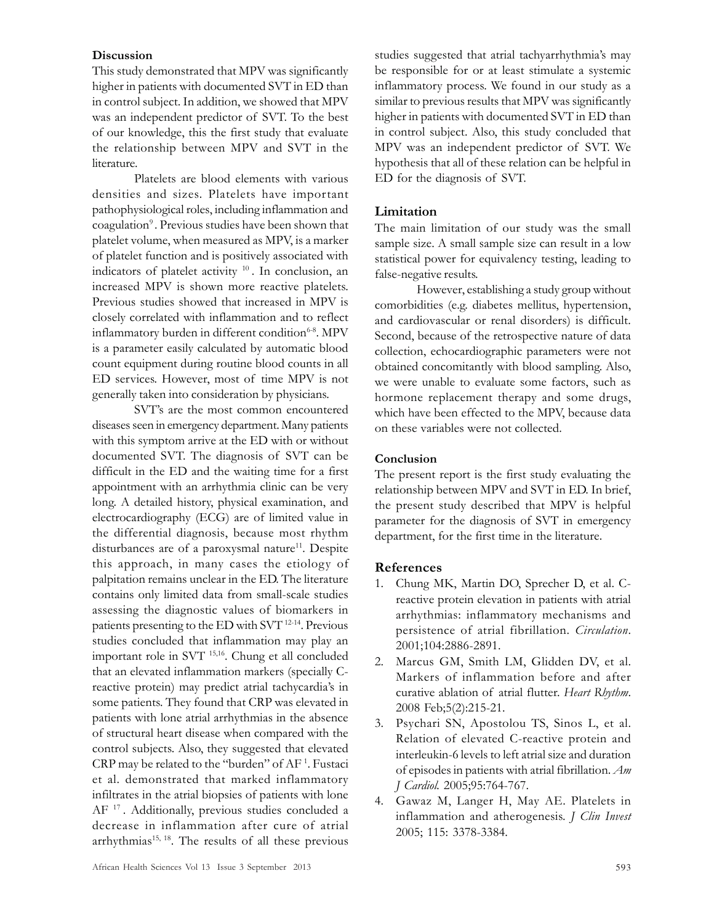#### Discussion

This study demonstrated that MPV was significantly higher in patients with documented SVT in ED than in control subject. In addition, we showed that MPV was an independent predictor of SVT. To the best of our knowledge, this the first study that evaluate the relationship between MPV and SVT in the literature.

Platelets are blood elements with various densities and sizes. Platelets have important pathophysiological roles, including inflammation and coagulation<sup>9</sup>. Previous studies have been shown that platelet volume, when measured as MPV, is a marker of platelet function and is positively associated with indicators of platelet activity  $10$ . In conclusion, an increased MPV is shown more reactive platelets. Previous studies showed that increased in MPV is closely correlated with inflammation and to reflect inflammatory burden in different condition<sup>6-8</sup>. MPV is a parameter easily calculated by automatic blood count equipment during routine blood counts in all ED services. However, most of time MPV is not generally taken into consideration by physicians.

SVT's are the most common encountered diseases seen in emergency department. Many patients with this symptom arrive at the ED with or without documented SVT. The diagnosis of SVT can be difficult in the ED and the waiting time for a first appointment with an arrhythmia clinic can be very long. A detailed history, physical examination, and electrocardiography (ECG) are of limited value in the differential diagnosis, because most rhythm disturbances are of a paroxysmal nature<sup>11</sup>. Despite this approach, in many cases the etiology of palpitation remains unclear in the ED. The literature contains only limited data from small-scale studies assessing the diagnostic values of biomarkers in patients presenting to the ED with SVT 12-14. Previous studies concluded that inflammation may play an important role in SVT 15,16. Chung et all concluded that an elevated inflammation markers (specially Creactive protein) may predict atrial tachycardia's in some patients. They found that CRP was elevated in patients with lone atrial arrhythmias in the absence of structural heart disease when compared with the control subjects. Also, they suggested that elevated CRP may be related to the "burden" of AF <sup>1</sup> . Fustaci et al. demonstrated that marked inflammatory infiltrates in the atrial biopsies of patients with lone AF<sup>17</sup>. Additionally, previous studies concluded a decrease in inflammation after cure of atrial arrhythmias<sup>15, 18</sup>. The results of all these previous studies suggested that atrial tachyarrhythmia's may be responsible for or at least stimulate a systemic inflammatory process. We found in our study as a similar to previous results that MPV was significantly higher in patients with documented SVT in ED than in control subject. Also, this study concluded that MPV was an independent predictor of SVT. We hypothesis that all of these relation can be helpful in ED for the diagnosis of SVT.

# Limitation

The main limitation of our study was the small sample size. A small sample size can result in a low statistical power for equivalency testing, leading to false-negative results.

However, establishing a study group without comorbidities (e.g. diabetes mellitus, hypertension, and cardiovascular or renal disorders) is difficult. Second, because of the retrospective nature of data collection, echocardiographic parameters were not obtained concomitantly with blood sampling. Also, we were unable to evaluate some factors, such as hormone replacement therapy and some drugs, which have been effected to the MPV, because data on these variables were not collected.

## Conclusion

The present report is the first study evaluating the relationship between MPV and SVT in ED. In brief, the present study described that MPV is helpful parameter for the diagnosis of SVT in emergency department, for the first time in the literature.

# References

- 1. Chung MK, Martin DO, Sprecher D, et al. Creactive protein elevation in patients with atrial arrhythmias: inflammatory mechanisms and persistence of atrial fibrillation. Circulation. 2001;104:2886-2891.
- 2. Marcus GM, Smith LM, Glidden DV, et al. Markers of inflammation before and after curative ablation of atrial flutter. Heart Rhythm. 2008 Feb;5(2):215-21.
- 3. Psychari SN, Apostolou TS, Sinos L, et al. Relation of elevated C-reactive protein and interleukin-6 levels to left atrial size and duration of episodes in patients with atrial fibrillation. Am J Cardiol. 2005;95:764-767.
- 4. Gawaz M, Langer H, May AE. Platelets in inflammation and atherogenesis. J Clin Invest 2005; 115: 3378-3384.